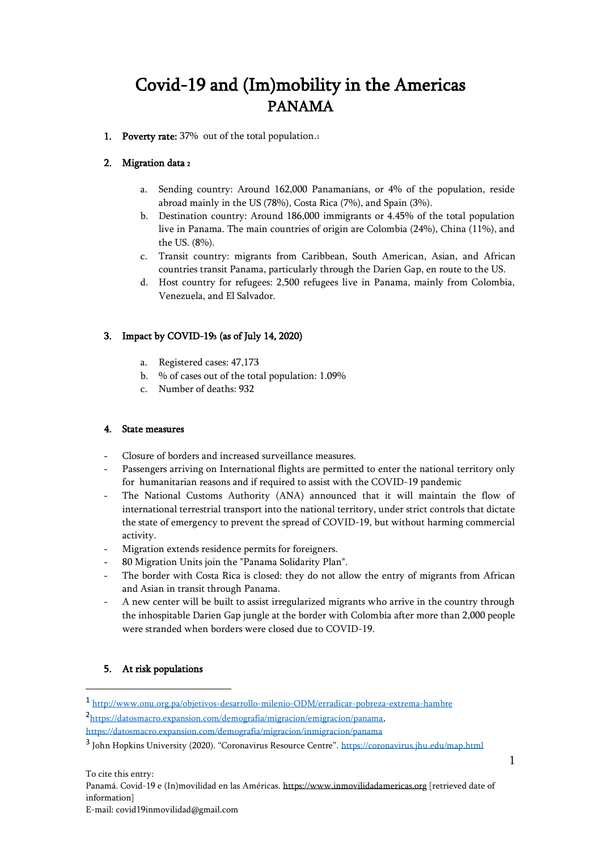# Covid-19 and (Im)mobility in the Americas PANAMA

1. Poverty rate: 37% out of the total population.1

## 2. Migration data <sup>2</sup>

- a. Sending country: Around 162,000 Panamanians, or 4% of the population, reside abroad mainly in the US (78%), Costa Rica (7%), and Spain (3%).
- b. Destination country: Around 186,000 immigrants or 4.45% of the total population live in Panama. The main countries of origin are Colombia (24%), China (11%), and the US. (8%).
- c. Transit country: migrants from Caribbean, South American, Asian, and African countries transit Panama, particularly through the Darien Gap, en route to the US.
- d. Host country for refugees: 2,500 refugees live in Panama, mainly from Colombia, Venezuela, and El Salvador.

# 3. Impact by COVID-193 (as of July 14, 2020)

- a. Registered cases: 47,173
- b. % of cases out of the total population: 1.09%
- c. Number of deaths: 932

#### 4. State measures

- Closure of borders and increased surveillance measures.
- Passengers arriving on International flights are permitted to enter the national territory only for humanitarian reasons and if required to assist with the COVID-19 pandemic
- The National Customs Authority (ANA) announced that it will maintain the flow of international terrestrial transport into the national territory, under strict controls that dictate the state of emergency to prevent the spread of COVID-19, but without harming commercial activity.
- Migration extends residence permits for foreigners.
- 80 Migration Units join the "Panama Solidarity Plan".
- The border with Costa Rica is closed: they do not allow the entry of migrants from African and Asian in transit through Panama.
- A new center will be built to assist irregularized migrants who arrive in the country through the inhospitable Darien Gap jungle at the border with Colombia after more than 2,000 people were stranded when borders were closed due to COVID-19.

### 5. At risk populations

1 <http://www.onu.org.pa/objetivos-desarrollo-milenio-ODM/erradicar-pobreza-extrema-hambre> 2 [https://datosmacro.expansion.com/demografia/migracion/emigracion/panama,](https://datosmacro.expansion.com/demografia/migracion/emigracion/panama) 

```
https://datosmacro.expansion.com/demografia/migracion/inmigracion/panama
```
<sup>&</sup>lt;sup>3</sup> John Hopkins University (2020). "Coronavirus Resource Centre". <https://coronavirus.jhu.edu/map.html>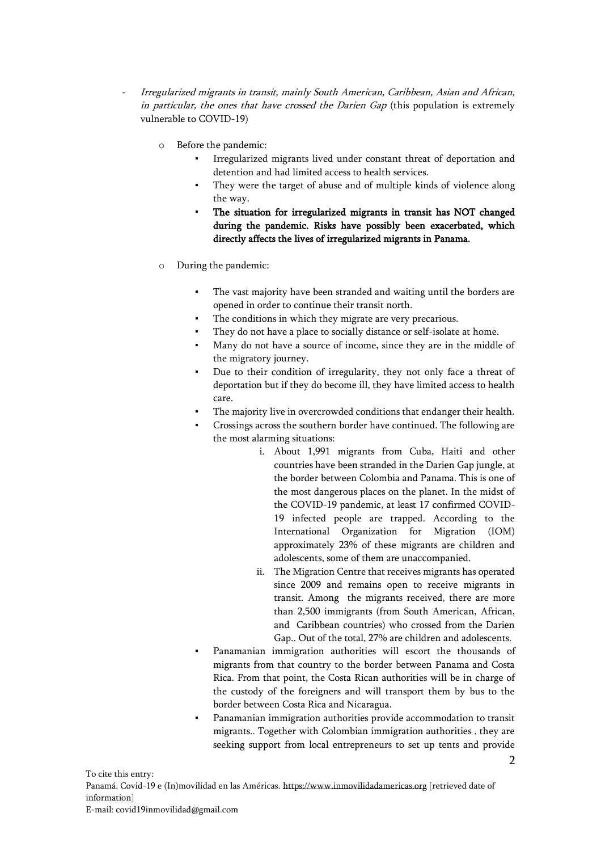- Irregularized migrants in transit, mainly South American, Caribbean, Asian and African, in particular, the ones that have crossed the Darien Gap (this population is extremely vulnerable to COVID-19)
	- o Before the pandemic:
		- Irregularized migrants lived under constant threat of deportation and detention and had limited access to health services.
		- They were the target of abuse and of multiple kinds of violence along the way.
		- The situation for irregularized migrants in transit has NOT changed during the pandemic. Risks have possibly been exacerbated, which directly affects the lives of irregularized migrants in Panama.
	- o During the pandemic:
		- The vast majority have been stranded and waiting until the borders are opened in order to continue their transit north.
		- The conditions in which they migrate are very precarious.
		- They do not have a place to socially distance or self-isolate at home.
		- Many do not have a source of income, since they are in the middle of the migratory journey.
		- Due to their condition of irregularity, they not only face a threat of deportation but if they do become ill, they have limited access to health care.
		- The majority live in overcrowded conditions that endanger their health.
		- Crossings across the southern border have continued. The following are the most alarming situations:
			- i. About 1,991 migrants from Cuba, Haiti and other countries have been stranded in the Darien Gap jungle, at the border between Colombia and Panama. This is one of the most dangerous places on the planet. In the midst of the COVID-19 pandemic, at least 17 confirmed COVID-19 infected people are trapped. According to the International Organization for Migration (IOM) approximately 23% of these migrants are children and adolescents, some of them are unaccompanied.
			- ii. The Migration Centre that receives migrants has operated since 2009 and remains open to receive migrants in transit. Among the migrants received, there are more than 2,500 immigrants (from South American, African, and Caribbean countries) who crossed from the Darien Gap.. Out of the total, 27% are children and adolescents.
		- Panamanian immigration authorities will escort the thousands of migrants from that country to the border between Panama and Costa Rica. From that point, the Costa Rican authorities will be in charge of the custody of the foreigners and will transport them by bus to the border between Costa Rica and Nicaragua.
		- Panamanian immigration authorities provide accommodation to transit migrants.. Together with Colombian immigration authorities , they are seeking support from local entrepreneurs to set up tents and provide

2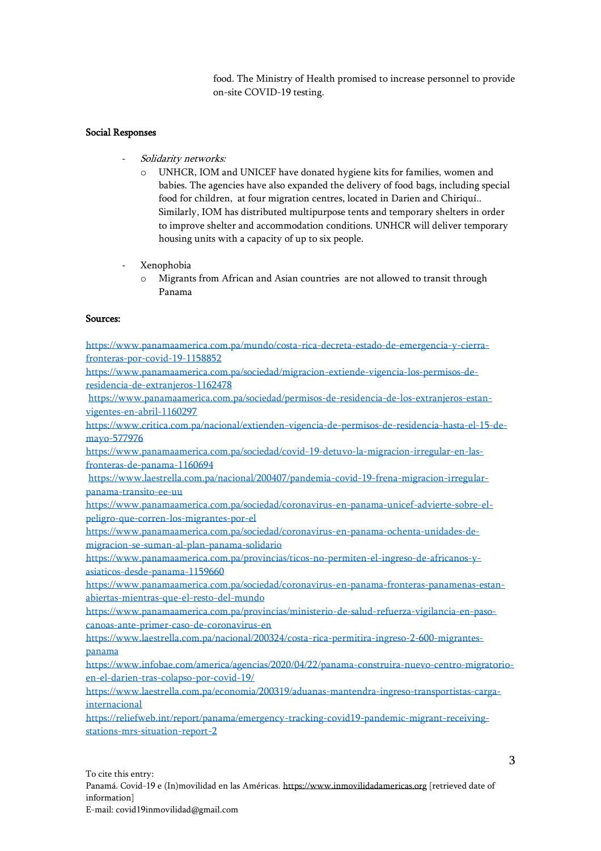food. The Ministry of Health promised to increase personnel to provide on-site COVID-19 testing.

#### Social Responses

- Solidarity networks:
	- o UNHCR, IOM and UNICEF have donated hygiene kits for families, women and babies. The agencies have also expanded the delivery of food bags, including special food for children, at four migration centres, located in Darien and Chiriquí.. Similarly, IOM has distributed multipurpose tents and temporary shelters in order to improve shelter and accommodation conditions. UNHCR will deliver temporary housing units with a capacity of up to six people.
- Xenophobia
	- o Migrants from African and Asian countries are not allowed to transit through Panama

#### Sources:

[https://www.panamaamerica.com.pa/mundo/costa-rica-decreta-estado-de-emergencia-y-cierra](https://www.panamaamerica.com.pa/mundo/costa-rica-decreta-estado-de-emergencia-y-cierra-fronteras-por-covid-19-1158852)[fronteras-por-covid-19-1158852](https://www.panamaamerica.com.pa/mundo/costa-rica-decreta-estado-de-emergencia-y-cierra-fronteras-por-covid-19-1158852) [https://www.panamaamerica.com.pa/sociedad/migracion-extiende-vigencia-los-permisos-de](https://www.panamaamerica.com.pa/sociedad/migracion-extiende-vigencia-los-permisos-de-residencia-de-extranjeros-1162478)[residencia-de-extranjeros-1162478](https://www.panamaamerica.com.pa/sociedad/migracion-extiende-vigencia-los-permisos-de-residencia-de-extranjeros-1162478) [https://www.panamaamerica.com.pa/sociedad/permisos-de-residencia-de-los-extranjeros-estan](https://www.panamaamerica.com.pa/sociedad/permisos-de-residencia-de-los-extranjeros-estan-vigentes-en-abril-1160297)[vigentes-en-abril-1160297](https://www.panamaamerica.com.pa/sociedad/permisos-de-residencia-de-los-extranjeros-estan-vigentes-en-abril-1160297)  [https://www.critica.com.pa/nacional/extienden-vigencia-de-permisos-de-residencia-hasta-el-15-de](https://www.critica.com.pa/nacional/extienden-vigencia-de-permisos-de-residencia-hasta-el-15-de-mayo-577976)[mayo-577976](https://www.critica.com.pa/nacional/extienden-vigencia-de-permisos-de-residencia-hasta-el-15-de-mayo-577976) [https://www.panamaamerica.com.pa/sociedad/covid-19-detuvo-la-migracion-irregular-en-las](https://www.panamaamerica.com.pa/sociedad/covid-19-detuvo-la-migracion-irregular-en-las-fronteras-de-panama-1160694)[fronteras-de-panama-1160694](https://www.panamaamerica.com.pa/sociedad/covid-19-detuvo-la-migracion-irregular-en-las-fronteras-de-panama-1160694) [https://www.laestrella.com.pa/nacional/200407/pandemia-covid-19-frena-migracion-irregular](https://www.laestrella.com.pa/nacional/200407/pandemia-covid-19-frena-migracion-irregular-panama-transito-ee-uu)[panama-transito-ee-uu](https://www.laestrella.com.pa/nacional/200407/pandemia-covid-19-frena-migracion-irregular-panama-transito-ee-uu) [https://www.panamaamerica.com.pa/sociedad/coronavirus-en-panama-unicef-advierte-sobre-el](https://www.panamaamerica.com.pa/sociedad/coronavirus-en-panama-unicef-advierte-sobre-el-peligro-que-corren-los-migrantes-por-el)[peligro-que-corren-los-migrantes-por-el](https://www.panamaamerica.com.pa/sociedad/coronavirus-en-panama-unicef-advierte-sobre-el-peligro-que-corren-los-migrantes-por-el) [https://www.panamaamerica.com.pa/sociedad/coronavirus-en-panama-ochenta-unidades-de](https://www.panamaamerica.com.pa/sociedad/coronavirus-en-panama-ochenta-unidades-de-migracion-se-suman-al-plan-panama-solidario)[migracion-se-suman-al-plan-panama-solidario](https://www.panamaamerica.com.pa/sociedad/coronavirus-en-panama-ochenta-unidades-de-migracion-se-suman-al-plan-panama-solidario) [https://www.panamaamerica.com.pa/provincias/ticos-no-permiten-el-ingreso-de-africanos-y](https://www.panamaamerica.com.pa/provincias/ticos-no-permiten-el-ingreso-de-africanos-y-asiaticos-desde-panama-1159660)[asiaticos-desde-panama-1159660](https://www.panamaamerica.com.pa/provincias/ticos-no-permiten-el-ingreso-de-africanos-y-asiaticos-desde-panama-1159660) [https://www.panamaamerica.com.pa/sociedad/coronavirus-en-panama-fronteras-panamenas-estan](https://www.panamaamerica.com.pa/sociedad/coronavirus-en-panama-fronteras-panamenas-estan-abiertas-mientras-que-el-resto-del-mundo)[abiertas-mientras-que-el-resto-del-mundo](https://www.panamaamerica.com.pa/sociedad/coronavirus-en-panama-fronteras-panamenas-estan-abiertas-mientras-que-el-resto-del-mundo) [https://www.panamaamerica.com.pa/provincias/ministerio-de-salud-refuerza-vigilancia-en-paso](https://www.panamaamerica.com.pa/provincias/ministerio-de-salud-refuerza-vigilancia-en-paso-canoas-ante-primer-caso-de-coronavirus-en)[canoas-ante-primer-caso-de-coronavirus-en](https://www.panamaamerica.com.pa/provincias/ministerio-de-salud-refuerza-vigilancia-en-paso-canoas-ante-primer-caso-de-coronavirus-en) [https://www.laestrella.com.pa/nacional/200324/costa-rica-permitira-ingreso-2-600-migrantes](https://www.laestrella.com.pa/nacional/200324/costa-rica-permitira-ingreso-2-600-migrantes-panama)[panama](https://www.laestrella.com.pa/nacional/200324/costa-rica-permitira-ingreso-2-600-migrantes-panama) [https://www.infobae.com/america/agencias/2020/04/22/panama-construira-nuevo-centro-migratorio](https://www.infobae.com/america/agencias/2020/04/22/panama-construira-nuevo-centro-migratorio-en-el-darien-tras-colapso-por-covid-19/)[en-el-darien-tras-colapso-por-covid-19/](https://www.infobae.com/america/agencias/2020/04/22/panama-construira-nuevo-centro-migratorio-en-el-darien-tras-colapso-por-covid-19/) [https://www.laestrella.com.pa/economia/200319/aduanas-mantendra-ingreso-transportistas-carga](https://www.laestrella.com.pa/economia/200319/aduanas-mantendra-ingreso-transportistas-carga-internacional)[internacional](https://www.laestrella.com.pa/economia/200319/aduanas-mantendra-ingreso-transportistas-carga-internacional) [https://reliefweb.int/report/panama/emergency-tracking-covid19-pandemic-migrant-receiving](https://reliefweb.int/report/panama/emergency-tracking-covid19-pandemic-migrant-receiving-stations-mrs-situation-report-2)[stations-mrs-situation-report-2](https://reliefweb.int/report/panama/emergency-tracking-covid19-pandemic-migrant-receiving-stations-mrs-situation-report-2)